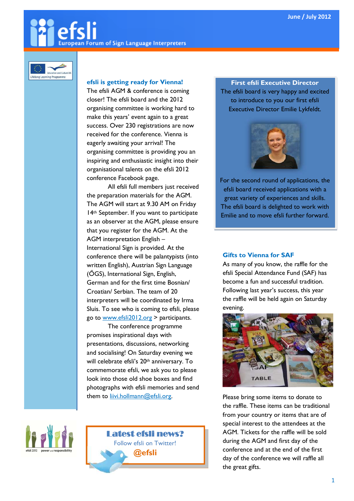# European Forum of Sign Language Interpreters



## efsli is getting ready for Vienna!

The efsli AGM & conference is coming closer! The efsli board and the 2012 organising committee is working hard to make this years' event again to a great success. Over 230 registrations are now received for the conference. Vienna is eagerly awaiting your arrival! The organising committee is providing you an inspiring and enthusiastic insight into their organisational talents on the efsli 2012 conference Facebook page.

All efsli full members just received the preparation materials for the AGM. The AGM will start at 9.30 AM on Friday 14th September. If you want to participate as an observer at the AGM, please ensure that you register for the AGM. At the AGM interpretation English – International Sign is provided. At the conference there will be palantypists (into written English), Austrian Sign Language (ÖGS), International Sign, English, German and for the first time Bosnian/ Croatian/ Serbian. The team of 20 interpreters will be coordinated by Irma Sluis. To see who is coming to efsli, please go to www.efsli2012.org > participants.

The conference programme promises inspirational days with presentations, discussions, networking and socialising! On Saturday evening we will celebrate efsli's 20th anniversary. To commemorate efsli, we ask you to please look into those old shoe boxes and find photographs with efsli memories and send them to **liivi.hollmann@efsli.org**.





First efsli Executive Director The efsli board is very happy and excited to introduce to you our first efsli Executive Director Emilie Lykfeldt.



For the second round of applications, the efsli board received applications with a great variety of experiences and skills. The efsli board is delighted to work with Emilie and to move efsli further forward.

## Gifts to Vienna for SAF

As many of you know, the raffle for the efsli Special Attendance Fund (SAF) has become a fun and successful tradition. Following last year's success, this year the raffle will be held again on Saturday evening.



Please bring some items to donate to the raffle. These items can be traditional from your country or items that are of special interest to the attendees at the AGM. Tickets for the raffle will be sold during the AGM and first day of the conference and at the end of the first day of the conference we will raffle all the great gifts.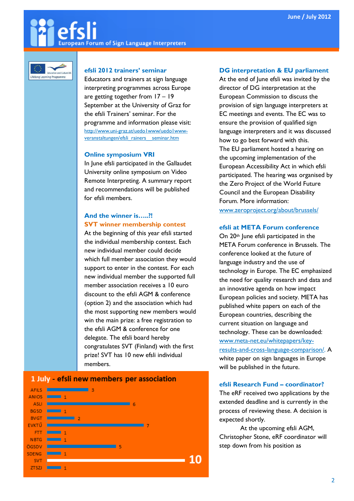## **European Forum of Sign Language Interpreters**



#### efsli 2012 trainers' seminar

Educators and trainers at sign language interpreting programmes across Europe are getting together from 17 – 19 September at the University of Graz for the efsli Trainers' seminar. For the programme and information please visit: http://www.uni-graz.at/uedo1www/uedo1wwwveranstaltungen/efsli\_rainers\_\_seminar.htm

#### Online symposium VRI

In June efsli participated in the Gallaudet University online symposium on Video Remote Interpreting. A summary report and recommendations will be published for efsli members.

## And the winner is…..?! SVT winner membership contest

At the beginning of this year efsli started the individual membership contest. Each new individual member could decide which full member association they would support to enter in the contest. For each new individual member the supported full member association receives a 10 euro discount to the efsli AGM & conference (option 2) and the association which had the most supporting new members would win the main prize: a free registration to the efsli AGM & conference for one delegate. The efsli board hereby congratulates SVT (Finland) with the first prize! SVT has 10 new efsli individual members.

## 1 July - efsli new members per association



#### DG interpretation & EU parliament

At the end of June efsli was invited by the director of DG interpretation at the European Commission to discuss the provision of sign language interpreters at EC meetings and events. The EC was to ensure the provision of qualified sign language interpreters and it was discussed how to go best forward with this. The EU parliament hosted a hearing on the upcoming implementation of the European Accessibility Act in which efsli participated. The hearing was organised by the Zero Project of the World Future Council and the European Disability Forum. More information: www.zeroproject.org/about/brussels/

#### efsli at META Forum conference

On 20<sup>th</sup> June efsli participated in the META Forum conference in Brussels. The conference looked at the future of language industry and the use of technology in Europe. The EC emphasized the need for quality research and data and an innovative agenda on how impact European policies and society. META has published white papers on each of the European countries, describing the current situation on language and technology. These can be downloaded: www.meta-net.eu/whitepapers/keyresults-and-cross-language-comparison/. A white paper on sign languages in Europe will be published in the future.

#### efsli Research Fund – coordinator?

The eRF received two applications by the extended deadline and is currently in the process of reviewing these. A decision is expected shortly.

At the upcoming efsli AGM, Christopher Stone, eRF coordinator will step down from his position as